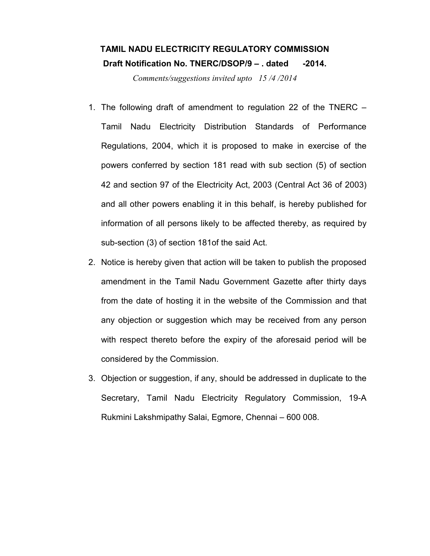# TAMIL NADU ELECTRICITY REGULATORY COMMISSION Draft Notification No. TNERC/DSOP/9 - . dated -2014.

Comments/suggestions invited upto 15 /4 /2014

- 1. The following draft of amendment to regulation 22 of the TNERC Tamil Nadu Electricity Distribution Standards of Performance Regulations, 2004, which it is proposed to make in exercise of the powers conferred by section 181 read with sub section (5) of section 42 and section 97 of the Electricity Act, 2003 (Central Act 36 of 2003) and all other powers enabling it in this behalf, is hereby published for information of all persons likely to be affected thereby, as required by sub-section (3) of section 181of the said Act.
- 2. Notice is hereby given that action will be taken to publish the proposed amendment in the Tamil Nadu Government Gazette after thirty days from the date of hosting it in the website of the Commission and that any objection or suggestion which may be received from any person with respect thereto before the expiry of the aforesaid period will be considered by the Commission.
- 3. Objection or suggestion, if any, should be addressed in duplicate to the Secretary, Tamil Nadu Electricity Regulatory Commission, 19-A Rukmini Lakshmipathy Salai, Egmore, Chennai – 600 008.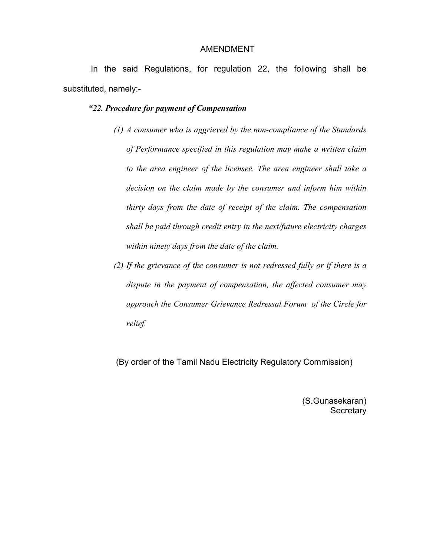#### AMENDMENT

 In the said Regulations, for regulation 22, the following shall be substituted, namely:-

#### "22. Procedure for payment of Compensation

- (1) A consumer who is aggrieved by the non-compliance of the Standards of Performance specified in this regulation may make a written claim to the area engineer of the licensee. The area engineer shall take a decision on the claim made by the consumer and inform him within thirty days from the date of receipt of the claim. The compensation shall be paid through credit entry in the next/future electricity charges within ninety days from the date of the claim.
- (2) If the grievance of the consumer is not redressed fully or if there is a dispute in the payment of compensation, the affected consumer may approach the Consumer Grievance Redressal Forum of the Circle for relief.

(By order of the Tamil Nadu Electricity Regulatory Commission)

(S.Gunasekaran) **Secretary**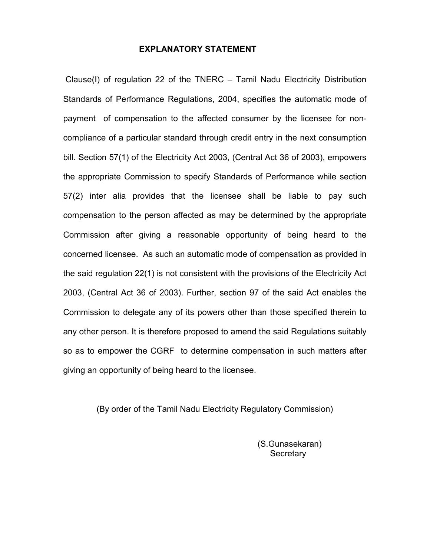### EXPLANATORY STATEMENT

 Clause(I) of regulation 22 of the TNERC – Tamil Nadu Electricity Distribution Standards of Performance Regulations, 2004, specifies the automatic mode of payment of compensation to the affected consumer by the licensee for noncompliance of a particular standard through credit entry in the next consumption bill. Section 57(1) of the Electricity Act 2003, (Central Act 36 of 2003), empowers the appropriate Commission to specify Standards of Performance while section 57(2) inter alia provides that the licensee shall be liable to pay such compensation to the person affected as may be determined by the appropriate Commission after giving a reasonable opportunity of being heard to the concerned licensee. As such an automatic mode of compensation as provided in the said regulation 22(1) is not consistent with the provisions of the Electricity Act 2003, (Central Act 36 of 2003). Further, section 97 of the said Act enables the Commission to delegate any of its powers other than those specified therein to any other person. It is therefore proposed to amend the said Regulations suitably so as to empower the CGRF to determine compensation in such matters after giving an opportunity of being heard to the licensee.

(By order of the Tamil Nadu Electricity Regulatory Commission)

 (S.Gunasekaran) **Secretary**